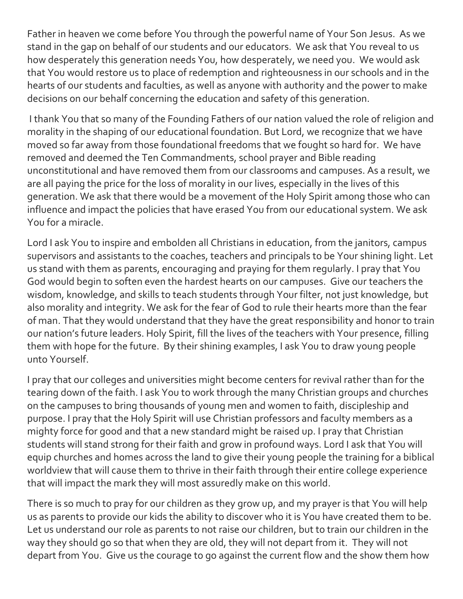Father in heaven we come before You through the powerful name of Your Son Jesus. As we stand in the gap on behalf of our students and our educators. We ask that You reveal to us how desperately this generation needs You, how desperately, we need you. We would ask that You would restore us to place of redemption and righteousness in our schools and in the hearts of our students and faculties, as well as anyone with authority and the power to make decisions on our behalf concerning the education and safety of this generation.

I thank You that so many of the Founding Fathers of our nation valued the role of religion and morality in the shaping of our educational foundation. But Lord, we recognize that we have moved so far away from those foundational freedoms that we fought so hard for. We have removed and deemed the Ten Commandments, school prayer and Bible reading unconstitutional and have removed them from our classrooms and campuses. As a result, we are all paying the price for the loss of morality in our lives, especially in the lives of this generation. We ask that there would be a movement of the Holy Spirit among those who can influence and impact the policies that have erased You from our educational system. We ask You for a miracle.

Lord I ask You to inspire and embolden all Christians in education, from the janitors, campus supervisors and assistants to the coaches, teachers and principals to be Your shining light. Let us stand with them as parents, encouraging and praying for them regularly. I pray that You God would begin to soften even the hardest hearts on our campuses. Give our teachers the wisdom, knowledge, and skills to teach students through Your filter, not just knowledge, but also morality and integrity. We ask for the fear of God to rule their hearts more than the fear of man. That they would understand that they have the great responsibility and honor to train our nation's future leaders. Holy Spirit, fill the lives of the teachers with Your presence, filling them with hope for the future. By their shining examples, I ask You to draw young people unto Yourself.

I pray that our colleges and universities might become centers for revival rather than for the tearing down of the faith. I ask You to work through the many Christian groups and churches on the campuses to bring thousands of young men and women to faith, discipleship and purpose. I pray that the Holy Spirit will use Christian professors and faculty members as a mighty force for good and that a new standard might be raised up. I pray that Christian students will stand strong for their faith and grow in profound ways. Lord I ask that You will equip churches and homes across the land to give their young people the training for a biblical worldview that will cause them to thrive in their faith through their entire college experience that will impact the mark they will most assuredly make on this world.

There is so much to pray for our children as they grow up, and my prayer is that You will help us as parents to provide our kids the ability to discover who it is You have created them to be. Let us understand our role as parents to not raise our children, but to train our children in the way they should go so that when they are old, they will not depart from it. They will not depart from You. Give us the courage to go against the current flow and the show them how